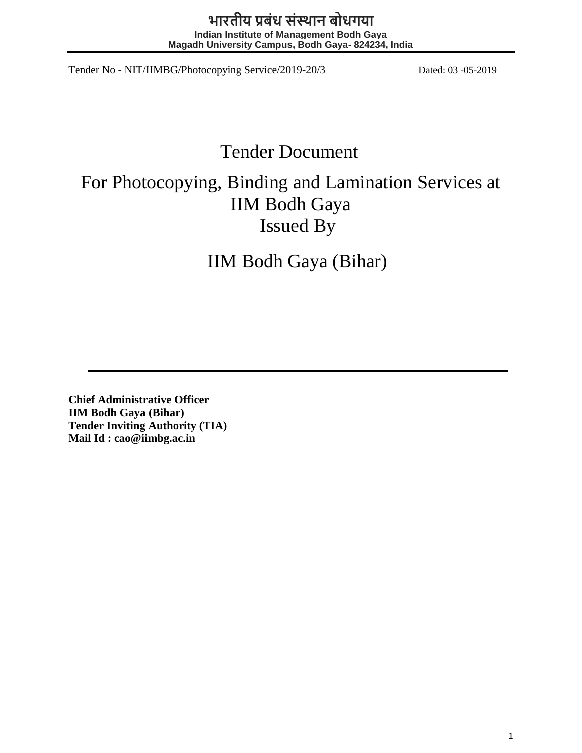# **भारतीय प्रबंध संस्थान बोधगया**

**Indian Institute of Management Bodh Gaya Magadh University Campus, Bodh Gaya- 824234, India**

Tender No - NIT/IIMBG/Photocopying Service/2019-20/3 Dated: 03 -05-2019

# Tender Document

# For Photocopying, Binding and Lamination Services at IIM Bodh Gaya Issued By

IIM Bodh Gaya (Bihar)

**Chief Administrative Officer IIM Bodh Gaya (Bihar) Tender Inviting Authority (TIA) Mail Id : cao@iimbg.ac.in**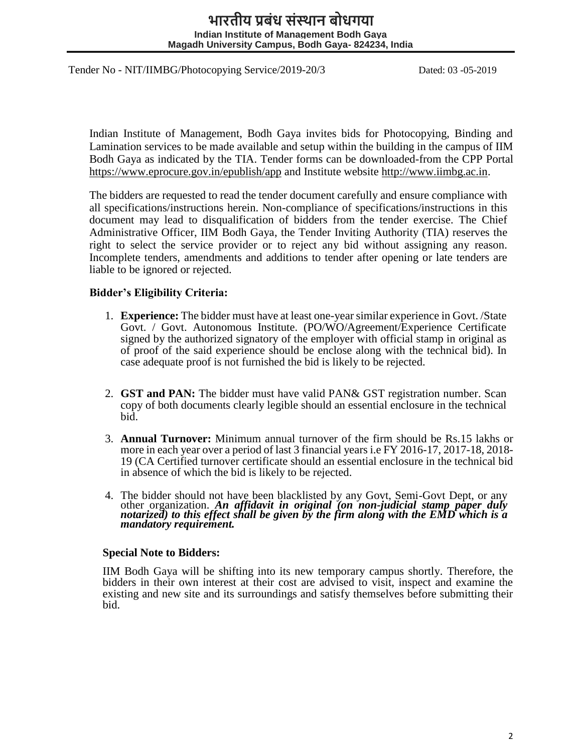# **भारतीय प्रबंध संस्थान बोधगया Indian Institute of Management Bodh Gaya Magadh University Campus, Bodh Gaya- 824234, India**

Tender No - NIT/IIMBG/Photocopying Service/2019-20/3 Dated: 03 -05-2019

Indian Institute of Management, Bodh Gaya invites bids for Photocopying, Binding and Lamination services to be made available and setup within the building in the campus of IIM Bodh Gaya as indicated by the TIA. Tender forms can be downloaded-from the CPP Portal https://www.eprocure.gov.in/epublish/app and Institute website http://www.iimbg.ac.in.

The bidders are requested to read the tender document carefully and ensure compliance with all specifications/instructions herein. Non-compliance of specifications/instructions in this document may lead to disqualification of bidders from the tender exercise. The Chief Administrative Officer, IIM Bodh Gaya, the Tender Inviting Authority (TIA) reserves the right to select the service provider or to reject any bid without assigning any reason. Incomplete tenders, amendments and additions to tender after opening or late tenders are liable to be ignored or rejected.

#### **Bidder's Eligibility Criteria:**

- 1. **Experience:** The bidder must have at least one-yearsimilar experience in Govt. /State Govt. / Govt. Autonomous Institute. (PO/WO/Agreement/Experience Certificate signed by the authorized signatory of the employer with official stamp in original as of proof of the said experience should be enclose along with the technical bid). In case adequate proof is not furnished the bid is likely to be rejected.
- 2. **GST and PAN:** The bidder must have valid PAN& GST registration number. Scan copy of both documents clearly legible should an essential enclosure in the technical bid.
- 3. **Annual Turnover:** Minimum annual turnover of the firm should be Rs.15 lakhs or more in each year over a period of last 3 financial years i.e FY 2016-17, 2017-18, 2018- 19 (CA Certified turnover certificate should an essential enclosure in the technical bid in absence of which the bid is likely to be rejected.
- 4. The bidder should not have been blacklisted by any Govt, Semi‐Govt Dept, or any other organization. *An affidavit in original (on non-judicial stamp paper duly notarized) to this effect shall be given by the firm along with the EMD which is a mandatory requirement.*

#### **Special Note to Bidders:**

IIM Bodh Gaya will be shifting into its new temporary campus shortly. Therefore, the bidders in their own interest at their cost are advised to visit, inspect and examine the existing and new site and its surroundings and satisfy themselves before submitting their bid.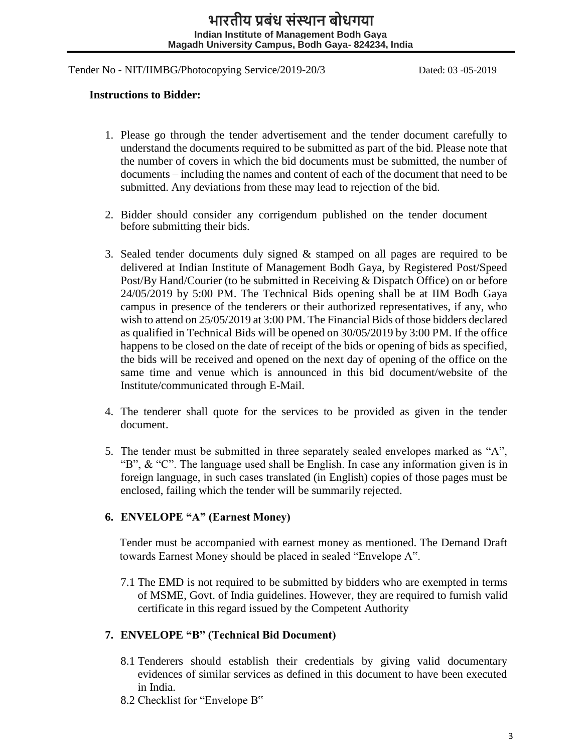#### **Instructions to Bidder:**

- 1. Please go through the tender advertisement and the tender document carefully to understand the documents required to be submitted as part of the bid. Please note that the number of covers in which the bid documents must be submitted, the number of documents – including the names and content of each of the document that need to be submitted. Any deviations from these may lead to rejection of the bid.
- 2. Bidder should consider any corrigendum published on the tender document before submitting their bids.
- 3. Sealed tender documents duly signed & stamped on all pages are required to be delivered at Indian Institute of Management Bodh Gaya, by Registered Post/Speed Post/By Hand/Courier (to be submitted in Receiving & Dispatch Office) on or before 24/05/2019 by 5:00 PM. The Technical Bids opening shall be at IIM Bodh Gaya campus in presence of the tenderers or their authorized representatives, if any, who wish to attend on 25/05/2019 at 3:00 PM. The Financial Bids of those bidders declared as qualified in Technical Bids will be opened on 30/05/2019 by 3:00 PM. If the office happens to be closed on the date of receipt of the bids or opening of bids as specified, the bids will be received and opened on the next day of opening of the office on the same time and venue which is announced in this bid document/website of the Institute/communicated through E-Mail.
- 4. The tenderer shall quote for the services to be provided as given in the tender document.
- 5. The tender must be submitted in three separately sealed envelopes marked as "A", "B", & "C". The language used shall be English. In case any information given is in foreign language, in such cases translated (in English) copies of those pages must be enclosed, failing which the tender will be summarily rejected.

# **6. ENVELOPE "A" (Earnest Money)**

Tender must be accompanied with earnest money as mentioned. The Demand Draft towards Earnest Money should be placed in sealed "Envelope A".

7.1 The EMD is not required to be submitted by bidders who are exempted in terms of MSME, Govt. of India guidelines. However, they are required to furnish valid certificate in this regard issued by the Competent Authority

# **7. ENVELOPE "B" (Technical Bid Document)**

- 8.1 Tenderers should establish their credentials by giving valid documentary evidences of similar services as defined in this document to have been executed in India.
- 8.2 Checklist for "Envelope B"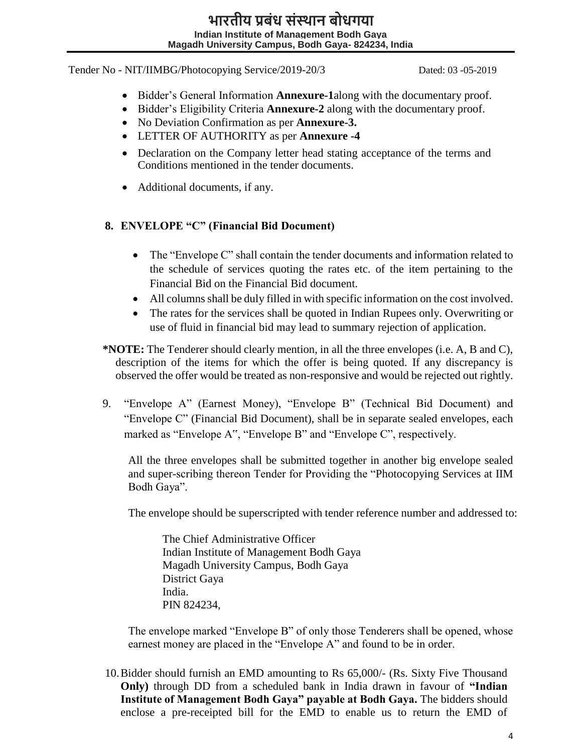- Bidder's General Information **Annexure-1**along with the documentary proof.
- Bidder's Eligibility Criteria **Annexure-2** along with the documentary proof.
- No Deviation Confirmation as per **Annexure-3.**
- LETTER OF AUTHORITY as per **Annexure -4**
- Declaration on the Company letter head stating acceptance of the terms and Conditions mentioned in the tender documents.
- Additional documents, if any.

# **8. ENVELOPE "C" (Financial Bid Document)**

- The "Envelope C" shall contain the tender documents and information related to the schedule of services quoting the rates etc. of the item pertaining to the Financial Bid on the Financial Bid document.
- All columns shall be duly filled in with specific information on the cost involved.
- The rates for the services shall be quoted in Indian Rupees only. Overwriting or use of fluid in financial bid may lead to summary rejection of application.
- **\*NOTE:** The Tenderer should clearly mention, in all the three envelopes (i.e. A, B and C), description of the items for which the offer is being quoted. If any discrepancy is observed the offer would be treated as non-responsive and would be rejected out rightly.
- 9. "Envelope A" (Earnest Money), "Envelope B" (Technical Bid Document) and "Envelope C" (Financial Bid Document), shall be in separate sealed envelopes, each marked as "Envelope A", "Envelope B" and "Envelope C", respectively.

All the three envelopes shall be submitted together in another big envelope sealed and super-scribing thereon Tender for Providing the "Photocopying Services at IIM Bodh Gaya".

The envelope should be superscripted with tender reference number and addressed to:

The Chief Administrative Officer Indian Institute of Management Bodh Gaya Magadh University Campus, Bodh Gaya District Gaya India. PIN 824234,

The envelope marked "Envelope B" of only those Tenderers shall be opened, whose earnest money are placed in the "Envelope A" and found to be in order.

10.Bidder should furnish an EMD amounting to Rs 65,000/- (Rs. Sixty Five Thousand **Only)** through DD from a scheduled bank in India drawn in favour of **"Indian Institute of Management Bodh Gaya" payable at Bodh Gaya.** The bidders should enclose a pre-receipted bill for the EMD to enable us to return the EMD of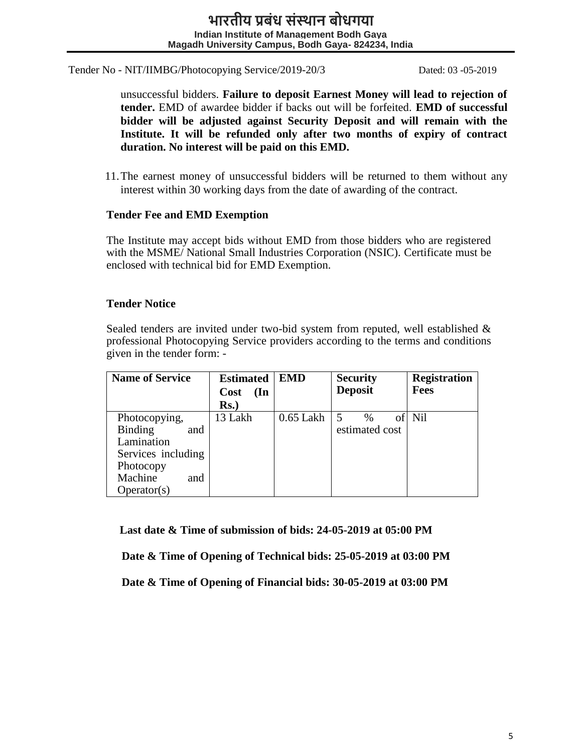unsuccessful bidders. **Failure to deposit Earnest Money will lead to rejection of tender.** EMD of awardee bidder if backs out will be forfeited. **EMD of successful bidder will be adjusted against Security Deposit and will remain with the Institute. It will be refunded only after two months of expiry of contract duration. No interest will be paid on this EMD.**

11.The earnest money of unsuccessful bidders will be returned to them without any interest within 30 working days from the date of awarding of the contract.

#### **Tender Fee and EMD Exemption**

The Institute may accept bids without EMD from those bidders who are registered with the MSME/ National Small Industries Corporation (NSIC). Certificate must be enclosed with technical bid for EMD Exemption.

## **Tender Notice**

Sealed tenders are invited under two-bid system from reputed, well established & professional Photocopying Service providers according to the terms and conditions given in the tender form: -

| <b>Name of Service</b> | <b>Estimated</b>               | <b>EMD</b>  | <b>Security</b> | <b>Registration</b> |  |
|------------------------|--------------------------------|-------------|-----------------|---------------------|--|
|                        | $(\mathbf{In})$<br><b>Cost</b> |             | <b>Deposit</b>  | <b>Fees</b>         |  |
|                        | Rs.)                           |             |                 |                     |  |
| Photocopying,          | 13 Lakh                        | $0.65$ Lakh | $\%$            | Nil                 |  |
| Binding<br>and         |                                |             | estimated cost  |                     |  |
| Lamination             |                                |             |                 |                     |  |
| Services including     |                                |             |                 |                     |  |
| Photocopy              |                                |             |                 |                     |  |
| Machine<br>and         |                                |             |                 |                     |  |
| Operator(s)            |                                |             |                 |                     |  |

 **Last date & Time of submission of bids: 24-05-2019 at 05:00 PM**

**Date & Time of Opening of Technical bids: 25-05-2019 at 03:00 PM**

**Date & Time of Opening of Financial bids: 30-05-2019 at 03:00 PM**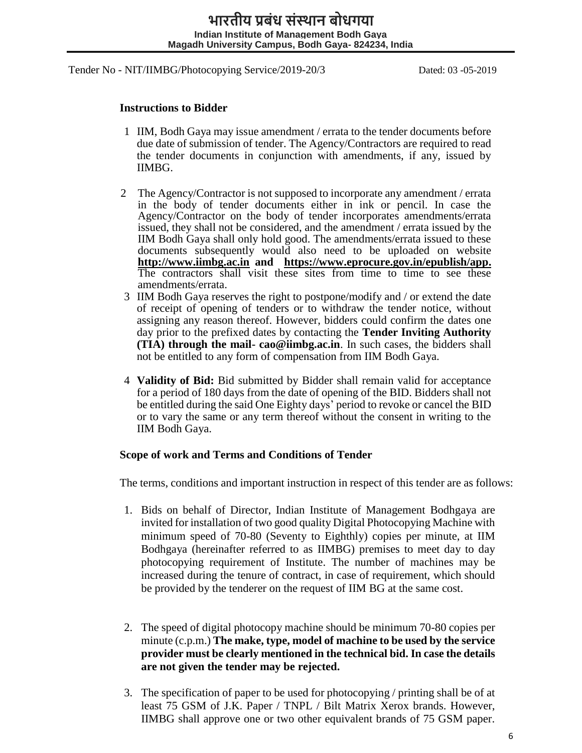#### **Instructions to Bidder**

- 1 IIM, Bodh Gaya may issue amendment / errata to the tender documents before due date of submission of tender. The Agency/Contractors are required to read the tender documents in conjunction with amendments, if any, issued by IIMBG.
- 2 The Agency/Contractor is not supposed to incorporate any amendment / errata in the body of tender documents either in ink or pencil. In case the Agency/Contractor on the body of tender incorporates amendments/errata issued, they shall not be considered, and the amendment / errata issued by the IIM Bodh Gaya shall only hold good. The amendments/errata issued to these documents subsequently would also need to be uploaded on website **[http://www.iimbg.ac.in](http://www.iimbg.ac.in/) and https://www.eprocure.gov.in/epublish/app.** The contractors shall visit these sites from time to time to see these amendments/errata.
- 3 IIM Bodh Gaya reserves the right to postpone/modify and / or extend the date of receipt of opening of tenders or to withdraw the tender notice, without assigning any reason thereof. However, bidders could confirm the dates one day prior to the prefixed dates by contacting the **Tender Inviting Authority (TIA) through the mail- cao@iimbg.ac.in**. In such cases, the bidders shall not be entitled to any form of compensation from IIM Bodh Gaya.
- 4 **Validity of Bid:** Bid submitted by Bidder shall remain valid for acceptance for a period of 180 days from the date of opening of the BID. Bidders shall not be entitled during the said One Eighty days' period to revoke or cancel the BID or to vary the same or any term thereof without the consent in writing to the IIM Bodh Gaya.

#### **Scope of work and Terms and Conditions of Tender**

The terms, conditions and important instruction in respect of this tender are as follows:

- 1. Bids on behalf of Director, Indian Institute of Management Bodhgaya are invited for installation of two good quality Digital Photocopying Machine with minimum speed of 70-80 (Seventy to Eighthly) copies per minute, at IIM Bodhgaya (hereinafter referred to as IIMBG) premises to meet day to day photocopying requirement of Institute. The number of machines may be increased during the tenure of contract, in case of requirement, which should be provided by the tenderer on the request of IIM BG at the same cost.
- 2. The speed of digital photocopy machine should be minimum 70-80 copies per minute (c.p.m.) **The make, type, model of machine to be used by the service provider must be clearly mentioned in the technical bid. In case the details are not given the tender may be rejected.**
- 3. The specification of paper to be used for photocopying / printing shall be of at least 75 GSM of J.K. Paper / TNPL / Bilt Matrix Xerox brands. However, IIMBG shall approve one or two other equivalent brands of 75 GSM paper.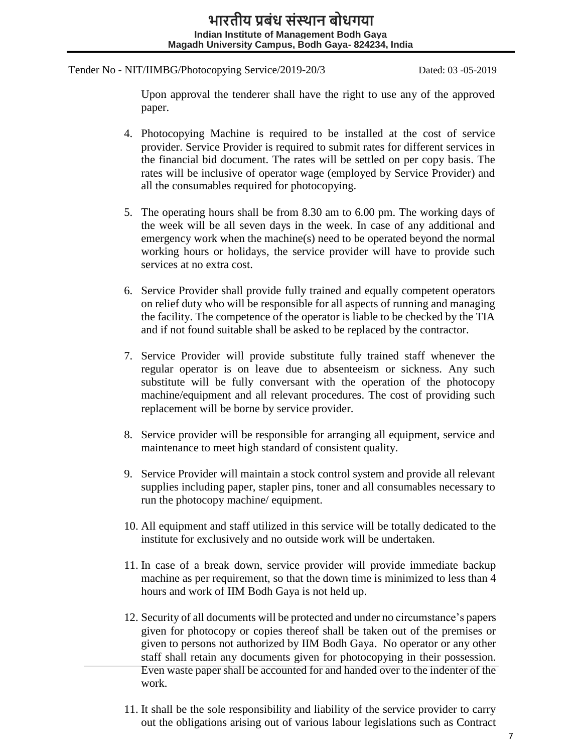Upon approval the tenderer shall have the right to use any of the approved paper.

- 4. Photocopying Machine is required to be installed at the cost of service provider. Service Provider is required to submit rates for different services in the financial bid document. The rates will be settled on per copy basis. The rates will be inclusive of operator wage (employed by Service Provider) and all the consumables required for photocopying.
- 5. The operating hours shall be from 8.30 am to 6.00 pm. The working days of the week will be all seven days in the week. In case of any additional and emergency work when the machine(s) need to be operated beyond the normal working hours or holidays, the service provider will have to provide such services at no extra cost.
- 6. Service Provider shall provide fully trained and equally competent operators on relief duty who will be responsible for all aspects of running and managing the facility. The competence of the operator is liable to be checked by the TIA and if not found suitable shall be asked to be replaced by the contractor.
- 7. Service Provider will provide substitute fully trained staff whenever the regular operator is on leave due to absenteeism or sickness. Any such substitute will be fully conversant with the operation of the photocopy machine/equipment and all relevant procedures. The cost of providing such replacement will be borne by service provider.
- 8. Service provider will be responsible for arranging all equipment, service and maintenance to meet high standard of consistent quality.
- 9. Service Provider will maintain a stock control system and provide all relevant supplies including paper, stapler pins, toner and all consumables necessary to run the photocopy machine/ equipment.
- 10. All equipment and staff utilized in this service will be totally dedicated to the institute for exclusively and no outside work will be undertaken.
- 11. In case of a break down, service provider will provide immediate backup machine as per requirement, so that the down time is minimized to less than 4 hours and work of IIM Bodh Gaya is not held up.
- 12. Security of all documents will be protected and under no circumstance's papers given for photocopy or copies thereof shall be taken out of the premises or given to persons not authorized by IIM Bodh Gaya. No operator or any other staff shall retain any documents given for photocopying in their possession. Even waste paper shall be accounted for and handed over to the indenter of the work.
- 11. It shall be the sole responsibility and liability of the service provider to carry out the obligations arising out of various labour legislations such as Contract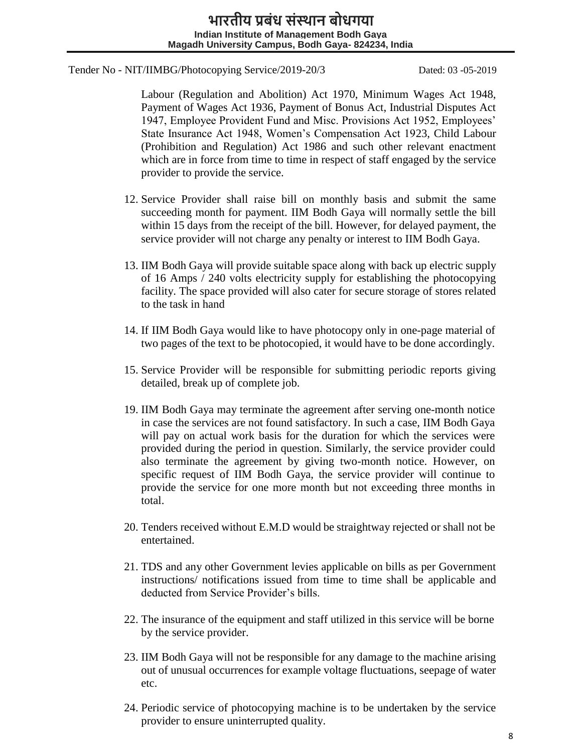Labour (Regulation and Abolition) Act 1970, Minimum Wages Act 1948, Payment of Wages Act 1936, Payment of Bonus Act, Industrial Disputes Act 1947, Employee Provident Fund and Misc. Provisions Act 1952, Employees' State Insurance Act 1948, Women's Compensation Act 1923, Child Labour (Prohibition and Regulation) Act 1986 and such other relevant enactment which are in force from time to time in respect of staff engaged by the service provider to provide the service.

- 12. Service Provider shall raise bill on monthly basis and submit the same succeeding month for payment. IIM Bodh Gaya will normally settle the bill within 15 days from the receipt of the bill. However, for delayed payment, the service provider will not charge any penalty or interest to IIM Bodh Gaya.
- 13. IIM Bodh Gaya will provide suitable space along with back up electric supply of 16 Amps / 240 volts electricity supply for establishing the photocopying facility. The space provided will also cater for secure storage of stores related to the task in hand
- 14. If IIM Bodh Gaya would like to have photocopy only in one-page material of two pages of the text to be photocopied, it would have to be done accordingly.
- 15. Service Provider will be responsible for submitting periodic reports giving detailed, break up of complete job.
- 19. IIM Bodh Gaya may terminate the agreement after serving one-month notice in case the services are not found satisfactory. In such a case, IIM Bodh Gaya will pay on actual work basis for the duration for which the services were provided during the period in question. Similarly, the service provider could also terminate the agreement by giving two-month notice. However, on specific request of IIM Bodh Gaya, the service provider will continue to provide the service for one more month but not exceeding three months in total.
- 20. Tenders received without E.M.D would be straightway rejected or shall not be entertained.
- 21. TDS and any other Government levies applicable on bills as per Government instructions/ notifications issued from time to time shall be applicable and deducted from Service Provider's bills.
- 22. The insurance of the equipment and staff utilized in this service will be borne by the service provider.
- 23. IIM Bodh Gaya will not be responsible for any damage to the machine arising out of unusual occurrences for example voltage fluctuations, seepage of water etc.
- 24. Periodic service of photocopying machine is to be undertaken by the service provider to ensure uninterrupted quality.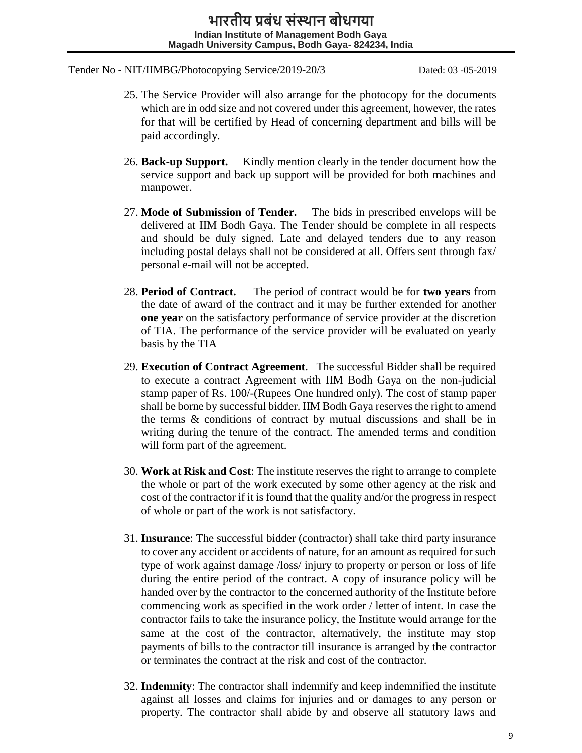- 25. The Service Provider will also arrange for the photocopy for the documents which are in odd size and not covered under this agreement, however, the rates for that will be certified by Head of concerning department and bills will be paid accordingly.
- 26. **Back-up Support.** Kindly mention clearly in the tender document how the service support and back up support will be provided for both machines and manpower.
- 27. **Mode of Submission of Tender.** The bids in prescribed envelops will be delivered at IIM Bodh Gaya. The Tender should be complete in all respects and should be duly signed. Late and delayed tenders due to any reason including postal delays shall not be considered at all. Offers sent through fax/ personal e-mail will not be accepted.
- 28. **Period of Contract.** The period of contract would be for **two years** from the date of award of the contract and it may be further extended for another **one year** on the satisfactory performance of service provider at the discretion of TIA. The performance of the service provider will be evaluated on yearly basis by the TIA
- 29. **Execution of Contract Agreement**. The successful Bidder shall be required to execute a contract Agreement with IIM Bodh Gaya on the non-judicial stamp paper of Rs. 100/-(Rupees One hundred only). The cost of stamp paper shall be borne by successful bidder. IIM Bodh Gaya reserves the right to amend the terms & conditions of contract by mutual discussions and shall be in writing during the tenure of the contract. The amended terms and condition will form part of the agreement.
- 30. **Work at Risk and Cost**: The institute reserves the right to arrange to complete the whole or part of the work executed by some other agency at the risk and cost of the contractor if it is found that the quality and/or the progress in respect of whole or part of the work is not satisfactory.
- 31. **Insurance**: The successful bidder (contractor) shall take third party insurance to cover any accident or accidents of nature, for an amount as required for such type of work against damage /loss/ injury to property or person or loss of life during the entire period of the contract. A copy of insurance policy will be handed over by the contractor to the concerned authority of the Institute before commencing work as specified in the work order / letter of intent. In case the contractor fails to take the insurance policy, the Institute would arrange for the same at the cost of the contractor, alternatively, the institute may stop payments of bills to the contractor till insurance is arranged by the contractor or terminates the contract at the risk and cost of the contractor.
- 32. **Indemnity**: The contractor shall indemnify and keep indemnified the institute against all losses and claims for injuries and or damages to any person or property. The contractor shall abide by and observe all statutory laws and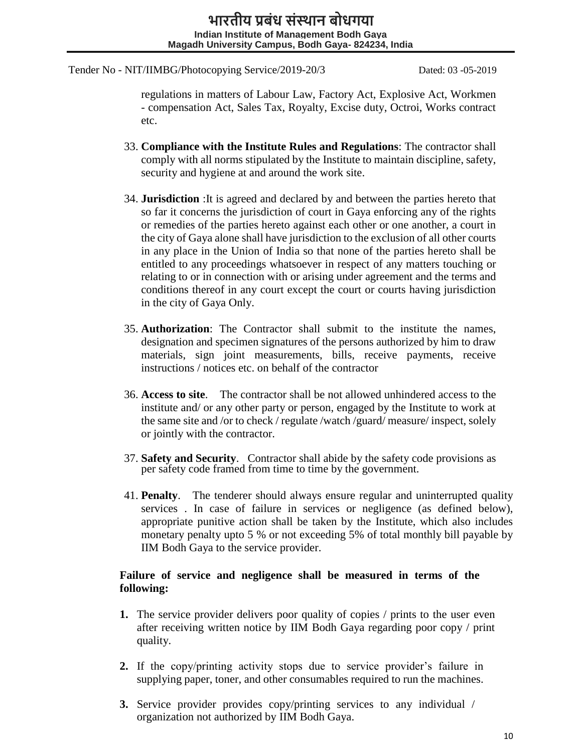regulations in matters of Labour Law, Factory Act, Explosive Act, Workmen - compensation Act, Sales Tax, Royalty, Excise duty, Octroi, Works contract etc.

- 33. **Compliance with the Institute Rules and Regulations**: The contractor shall comply with all norms stipulated by the Institute to maintain discipline, safety, security and hygiene at and around the work site.
- 34. **Jurisdiction** :It is agreed and declared by and between the parties hereto that so far it concerns the jurisdiction of court in Gaya enforcing any of the rights or remedies of the parties hereto against each other or one another, a court in the city of Gaya alone shall have jurisdiction to the exclusion of all other courts in any place in the Union of India so that none of the parties hereto shall be entitled to any proceedings whatsoever in respect of any matters touching or relating to or in connection with or arising under agreement and the terms and conditions thereof in any court except the court or courts having jurisdiction in the city of Gaya Only.
- 35. **Authorization**: The Contractor shall submit to the institute the names, designation and specimen signatures of the persons authorized by him to draw materials, sign joint measurements, bills, receive payments, receive instructions / notices etc. on behalf of the contractor
- 36. **Access to site**. The contractor shall be not allowed unhindered access to the institute and/ or any other party or person, engaged by the Institute to work at the same site and /or to check / regulate /watch /guard/ measure/ inspect, solely or jointly with the contractor.
- 37. **Safety and Security**. Contractor shall abide by the safety code provisions as per safety code framed from time to time by the government.
- 41. **Penalty**. The tenderer should always ensure regular and uninterrupted quality services . In case of failure in services or negligence (as defined below), appropriate punitive action shall be taken by the Institute, which also includes monetary penalty upto 5 % or not exceeding 5% of total monthly bill payable by IIM Bodh Gaya to the service provider.

## **Failure of service and negligence shall be measured in terms of the following:**

- **1.** The service provider delivers poor quality of copies / prints to the user even after receiving written notice by IIM Bodh Gaya regarding poor copy / print quality.
- **2.** If the copy/printing activity stops due to service provider's failure in supplying paper, toner, and other consumables required to run the machines.
- **3.** Service provider provides copy/printing services to any individual / organization not authorized by IIM Bodh Gaya.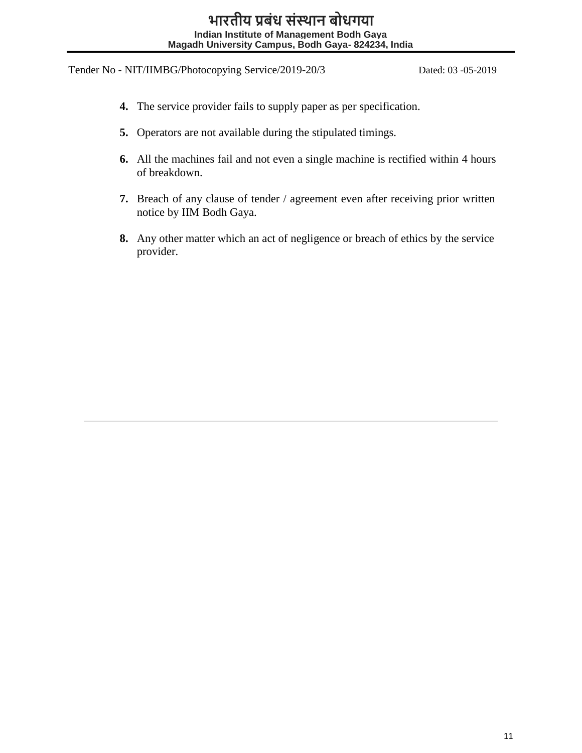- **4.** The service provider fails to supply paper as per specification.
- **5.** Operators are not available during the stipulated timings.
- **6.** All the machines fail and not even a single machine is rectified within 4 hours of breakdown.
- **7.** Breach of any clause of tender / agreement even after receiving prior written notice by IIM Bodh Gaya.
- **8.** Any other matter which an act of negligence or breach of ethics by the service provider.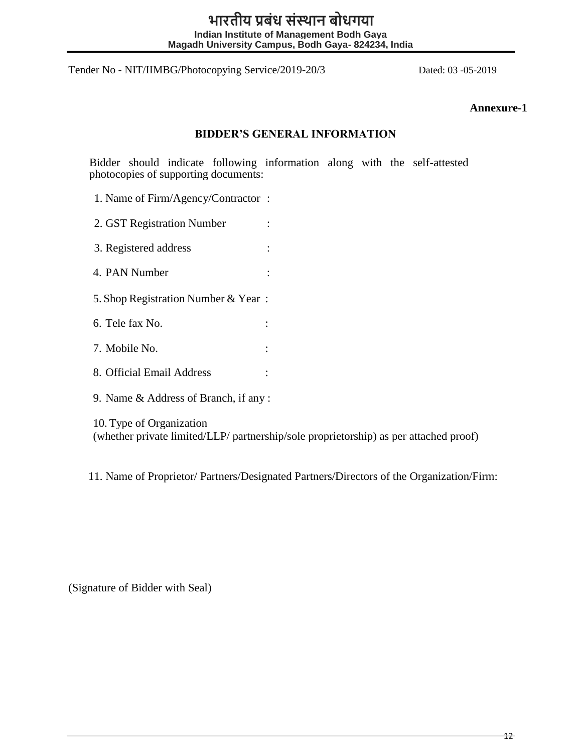# **भारतीय प्रबंध संस्थान बोधगया Indian Institute of Management Bodh Gaya Magadh University Campus, Bodh Gaya- 824234, India**

Tender No - NIT/IIMBG/Photocopying Service/2019-20/3 Dated: 03 -05-2019

#### **Annexure-1**

#### **BIDDER'S GENERAL INFORMATION**

Bidder should indicate following information along with the self-attested photocopies of supporting documents:

1. Name of Firm/Agency/Contractor :

2. GST Registration Number :

3. Registered address :

4. PAN Number :

5. Shop Registration Number & Year :

6. Tele fax No. :

7. Mobile No. :

8. Official Email Address :

9. Name & Address of Branch, if any :

10. Type of Organization

(whether private limited/LLP/ partnership/sole proprietorship) as per attached proof)

11. Name of Proprietor/ Partners/Designated Partners/Directors of the Organization/Firm:

(Signature of Bidder with Seal)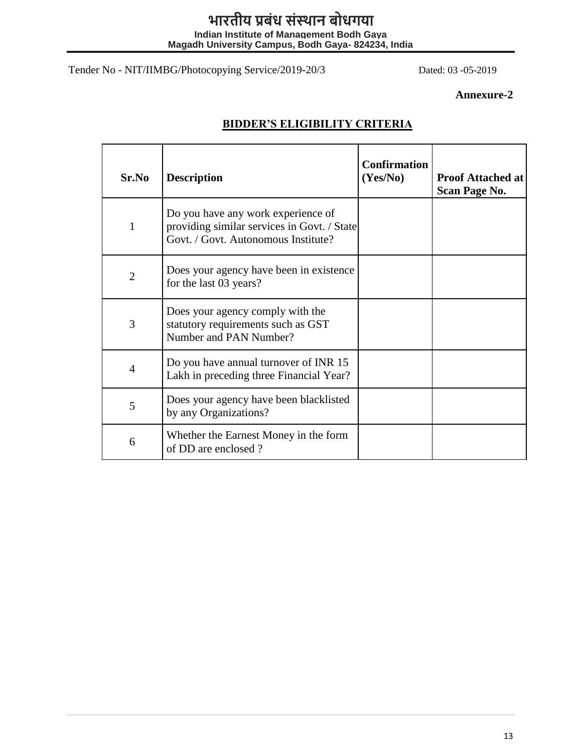# **भारतीय प्रबंध संस्थान बोधगया**

**Indian Institute of Management Bodh Gaya Magadh University Campus, Bodh Gaya- 824234, India**

Tender No - NIT/IIMBG/Photocopying Service/2019-20/3 Dated: 03 -05-2019

# **Annexure-2**

| Sr.No          | <b>Description</b>                                                                                                       | <b>Confirmation</b><br>(Yes/No) | <b>Proof Attached at</b><br><b>Scan Page No.</b> |
|----------------|--------------------------------------------------------------------------------------------------------------------------|---------------------------------|--------------------------------------------------|
| 1              | Do you have any work experience of<br>providing similar services in Govt. / State<br>Govt. / Govt. Autonomous Institute? |                                 |                                                  |
| $\overline{2}$ | Does your agency have been in existence<br>for the last 03 years?                                                        |                                 |                                                  |
| 3              | Does your agency comply with the<br>statutory requirements such as GST<br>Number and PAN Number?                         |                                 |                                                  |
| $\overline{4}$ | Do you have annual turnover of INR 15<br>Lakh in preceding three Financial Year?                                         |                                 |                                                  |
| 5              | Does your agency have been blacklisted<br>by any Organizations?                                                          |                                 |                                                  |
| 6              | Whether the Earnest Money in the form<br>of DD are enclosed?                                                             |                                 |                                                  |

# **BIDDER'S ELIGIBILITY CRITERIA**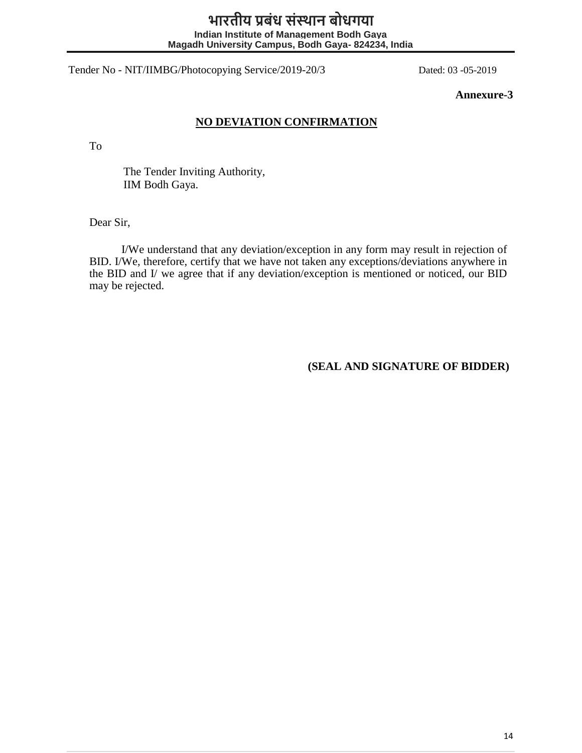# **भारतीय प्रबंध संस्थान बोधगया Indian Institute of Management Bodh Gaya Magadh University Campus, Bodh Gaya- 824234, India**

Tender No - NIT/IIMBG/Photocopying Service/2019-20/3 Dated: 03 -05-2019

**Annexure-3**

# **NO DEVIATION CONFIRMATION**

To

The Tender Inviting Authority, IIM Bodh Gaya.

Dear Sir,

I/We understand that any deviation/exception in any form may result in rejection of BID. I/We, therefore, certify that we have not taken any exceptions/deviations anywhere in the BID and I/ we agree that if any deviation/exception is mentioned or noticed, our BID may be rejected.

**(SEAL AND SIGNATURE OF BIDDER)**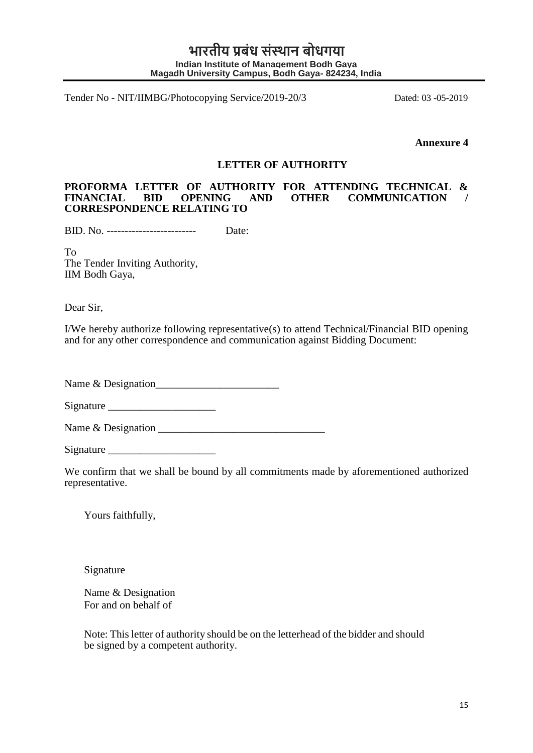**Annexure 4** 

#### **LETTER OF AUTHORITY**

#### **PROFORMA LETTER OF AUTHORITY FOR ATTENDING TECHNICAL &**  AND OTHER COMMUNICATION **CORRESPONDENCE RELATING TO**

BID. No. ------------------------- Date:

To The Tender Inviting Authority, IIM Bodh Gaya,

Dear Sir,

I/We hereby authorize following representative(s) to attend Technical/Financial BID opening and for any other correspondence and communication against Bidding Document:

Name & Designation\_\_\_\_\_\_\_\_\_\_\_\_\_\_\_\_\_\_\_\_\_\_\_

Signature  $\Box$ 

Name & Designation \_\_\_\_\_\_\_\_\_\_\_\_\_\_\_\_\_\_\_\_\_\_\_\_\_\_\_\_\_\_\_

Signature

We confirm that we shall be bound by all commitments made by aforementioned authorized representative.

Yours faithfully,

Signature

Name & Designation For and on behalf of

Note: This letter of authority should be on the letterhead of the bidder and should be signed by a competent authority.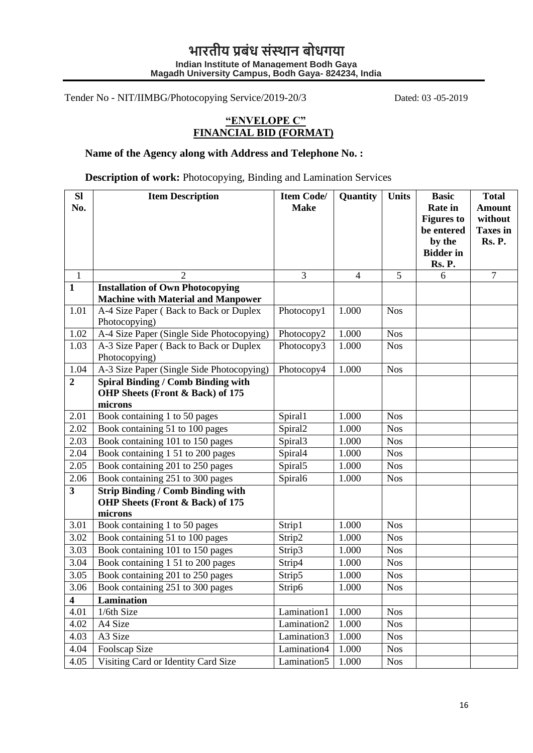# **"ENVELOPE C" FINANCIAL BID (FORMAT)**

# **Name of the Agency along with Address and Telephone No. :**

**Description of work:** Photocopying, Binding and Lamination Services

| <b>Sl</b><br>No.        | <b>Item Description</b>                                                                  | <b>Item Code/</b><br><b>Make</b> | Quantity       | <b>Units</b> | <b>Basic</b><br><b>Rate</b> in<br><b>Figures to</b><br>be entered<br>by the<br><b>Bidder</b> in<br>Rs. P. | <b>Total</b><br><b>Amount</b><br>without<br><b>Taxes</b> in<br>Rs. P. |
|-------------------------|------------------------------------------------------------------------------------------|----------------------------------|----------------|--------------|-----------------------------------------------------------------------------------------------------------|-----------------------------------------------------------------------|
| $\mathbf{1}$            | $\overline{2}$                                                                           | $\overline{3}$                   | $\overline{4}$ | 5            | 6                                                                                                         | $\tau$                                                                |
| $\mathbf{1}$            | <b>Installation of Own Photocopying</b><br><b>Machine with Material and Manpower</b>     |                                  |                |              |                                                                                                           |                                                                       |
| 1.01                    | A-4 Size Paper (Back to Back or Duplex<br>Photocopying)                                  | Photocopy1                       | 1.000          | <b>Nos</b>   |                                                                                                           |                                                                       |
| 1.02                    | A-4 Size Paper (Single Side Photocopying)                                                | Photocopy2                       | 1.000          | <b>Nos</b>   |                                                                                                           |                                                                       |
| 1.03                    | A-3 Size Paper (Back to Back or Duplex<br>Photocopying)                                  | Photocopy3                       | 1.000          | <b>Nos</b>   |                                                                                                           |                                                                       |
| 1.04                    | A-3 Size Paper (Single Side Photocopying)                                                | Photocopy4                       | 1.000          | <b>Nos</b>   |                                                                                                           |                                                                       |
| $\boldsymbol{2}$        | <b>Spiral Binding / Comb Binding with</b><br>OHP Sheets (Front & Back) of 175<br>microns |                                  |                |              |                                                                                                           |                                                                       |
| 2.01                    | Book containing 1 to 50 pages                                                            | Spiral1                          | 1.000          | <b>Nos</b>   |                                                                                                           |                                                                       |
| 2.02                    | Book containing 51 to 100 pages                                                          | Spiral <sub>2</sub>              | 1.000          | <b>Nos</b>   |                                                                                                           |                                                                       |
| 2.03                    | Book containing 101 to 150 pages                                                         | Spiral3                          | 1.000          | <b>Nos</b>   |                                                                                                           |                                                                       |
| 2.04                    | Book containing 1 51 to 200 pages                                                        | Spiral4                          | 1.000          | <b>Nos</b>   |                                                                                                           |                                                                       |
| 2.05                    | Book containing 201 to 250 pages                                                         | Spiral5                          | 1.000          | <b>Nos</b>   |                                                                                                           |                                                                       |
| 2.06                    | Book containing 251 to 300 pages                                                         | Spiral6                          | 1.000          | <b>Nos</b>   |                                                                                                           |                                                                       |
| $\overline{\mathbf{3}}$ | <b>Strip Binding / Comb Binding with</b><br>OHP Sheets (Front & Back) of 175<br>microns  |                                  |                |              |                                                                                                           |                                                                       |
| 3.01                    | Book containing 1 to 50 pages                                                            | Strip1                           | 1.000          | <b>Nos</b>   |                                                                                                           |                                                                       |
| 3.02                    | Book containing 51 to 100 pages                                                          | Strip2                           | 1.000          | <b>Nos</b>   |                                                                                                           |                                                                       |
| 3.03                    | Book containing 101 to 150 pages                                                         | Strip3                           | 1.000          | <b>Nos</b>   |                                                                                                           |                                                                       |
| 3.04                    | Book containing 1 51 to 200 pages                                                        | Strip4                           | 1.000          | <b>Nos</b>   |                                                                                                           |                                                                       |
| 3.05                    | Book containing 201 to 250 pages                                                         | Strip5                           | 1.000          | <b>Nos</b>   |                                                                                                           |                                                                       |
| 3.06                    | Book containing 251 to 300 pages                                                         | Strip6                           | 1.000          | <b>Nos</b>   |                                                                                                           |                                                                       |
| $\overline{\mathbf{4}}$ | Lamination                                                                               |                                  |                |              |                                                                                                           |                                                                       |
| 4.01                    | 1/6th Size                                                                               | Lamination1                      | 1.000          | <b>Nos</b>   |                                                                                                           |                                                                       |
| 4.02                    | A4 Size                                                                                  | Lamination <sub>2</sub>          | 1.000          | <b>Nos</b>   |                                                                                                           |                                                                       |
| 4.03                    | A3 Size                                                                                  | Lamination3                      | 1.000          | <b>Nos</b>   |                                                                                                           |                                                                       |
| 4.04                    | Foolscap Size                                                                            | Lamination4                      | 1.000          | <b>Nos</b>   |                                                                                                           |                                                                       |
| 4.05                    | Visiting Card or Identity Card Size                                                      | Lamination5                      | 1.000          | <b>Nos</b>   |                                                                                                           |                                                                       |